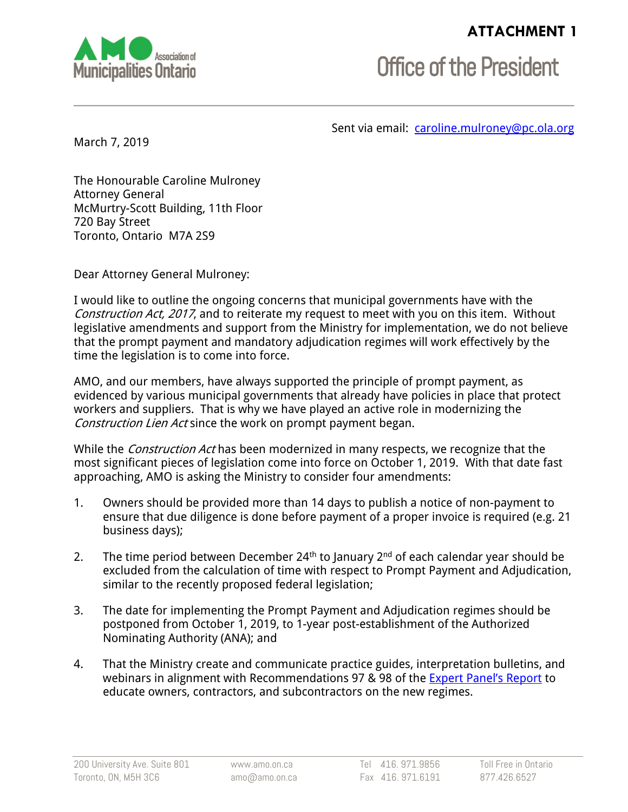## **ATTACHMENT 1**



**Office of the President** 

Sent via email: [caroline.mulroney@pc.ola.org](mailto:caroline.mulroney@pc.ola.org)

March 7, 2019

The Honourable Caroline Mulroney Attorney General McMurtry-Scott Building, 11th Floor 720 Bay Street Toronto, Ontario M7A 2S9

Dear Attorney General Mulroney:

I would like to outline the ongoing concerns that municipal governments have with the Construction Act, 2017, and to reiterate my request to meet with you on this item. Without legislative amendments and support from the Ministry for implementation, we do not believe that the prompt payment and mandatory adjudication regimes will work effectively by the time the legislation is to come into force.

AMO, and our members, have always supported the principle of prompt payment, as evidenced by various municipal governments that already have policies in place that protect workers and suppliers. That is why we have played an active role in modernizing the Construction Lien Act since the work on prompt payment began.

While the *Construction Act* has been modernized in many respects, we recognize that the most significant pieces of legislation come into force on October 1, 2019. With that date fast approaching, AMO is asking the Ministry to consider four amendments:

- 1. Owners should be provided more than 14 days to publish a notice of non-payment to ensure that due diligence is done before payment of a proper invoice is required (e.g. 21 business days);
- 2. The time period between December 24<sup>th</sup> to January  $2^{nd}$  of each calendar year should be excluded from the calculation of time with respect to Prompt Payment and Adjudication, similar to the recently proposed federal legislation;
- 3. The date for implementing the Prompt Payment and Adjudication regimes should be postponed from October 1, 2019, to 1-year post-establishment of the Authorized Nominating Authority (ANA); and
- 4. That the Ministry create and communicate practice guides, interpretation bulletins, and webinars in alignment with Recommendations 97 & 98 of the [Expert Panel's Report](https://www.attorneygeneral.jus.gov.on.ca/english/about/pubs/cla_report/) to educate owners, contractors, and subcontractors on the new regimes.